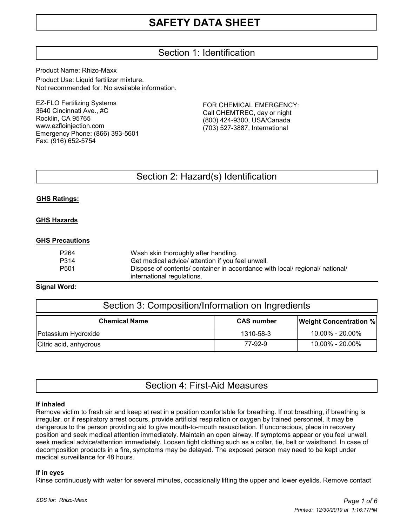# Section 1: Identification

Product Name: Rhizo-Maxx Product Use: Liquid fertilizer mixture. Not recommended for: No available information.

EZ-FLO Fertilizing Systems 3640 Cincinnati Ave., #C Rocklin, CA 95765 www.ezfloinjection.com Emergency Phone: (866) 393-5601 Fax: (916) 652-5754

FOR CHEMICAL EMERGENCY: Call CHEMTREC, day or night (800) 424-9300, USA/Canada (703) 527-3887, International

# Section 2: Hazard(s) Identification

#### **GHS Ratings:**

#### **GHS Hazards**

#### **GHS Precautions**

| P264 | Wash skin thoroughly after handling.                                         |
|------|------------------------------------------------------------------------------|
| P314 | Get medical advice/ attention if you feel unwell.                            |
| P501 | Dispose of contents/ container in accordance with local/ regional/ national/ |
|      | international regulations.                                                   |

#### **Signal Word:**

| Section 3: Composition/Information on Ingredients |                   |                               |  |  |  |
|---------------------------------------------------|-------------------|-------------------------------|--|--|--|
| <b>Chemical Name</b>                              | <b>CAS number</b> | <b>Weight Concentration %</b> |  |  |  |
| Potassium Hydroxide                               | 1310-58-3         | 10.00% - 20.00%               |  |  |  |
| Citric acid, anhydrous                            | 77-92-9           | 10.00% - 20.00%               |  |  |  |

# Section 4: First-Aid Measures

#### **If inhaled**

Remove victim to fresh air and keep at rest in a position comfortable for breathing. If not breathing, if breathing is irregular, or if respiratory arrest occurs, provide artificial respiration or oxygen by trained personnel. It may be dangerous to the person providing aid to give mouth-to-mouth resuscitation. If unconscious, place in recovery position and seek medical attention immediately. Maintain an open airway. If symptoms appear or you feel unwell, seek medical advice/attention immediately. Loosen tight clothing such as a collar, tie, belt or waistband. In case of decomposition products in a fire, symptoms may be delayed. The exposed person may need to be kept under medical surveillance for 48 hours.

#### **If in eyes**

Rinse continuously with water for several minutes, occasionally lifting the upper and lower eyelids. Remove contact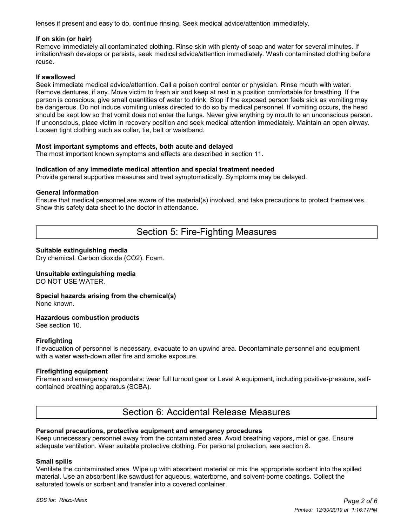lenses if present and easy to do, continue rinsing. Seek medical advice/attention immediately.

#### **If on skin (or hair)**

Remove immediately all contaminated clothing. Rinse skin with plenty of soap and water for several minutes. If irritation/rash develops or persists, seek medical advice/attention immediately. Wash contaminated clothing before reuse.

#### **If swallowed**

Seek immediate medical advice/attention. Call a poison control center or physician. Rinse mouth with water. Remove dentures, if any. Move victim to fresh air and keep at rest in a position comfortable for breathing. If the person is conscious, give small quantities of water to drink. Stop if the exposed person feels sick as vomiting may be dangerous. Do not induce vomiting unless directed to do so by medical personnel. If vomiting occurs, the head should be kept low so that vomit does not enter the lungs. Never give anything by mouth to an unconscious person. If unconscious, place victim in recovery position and seek medical attention immediately. Maintain an open airway. Loosen tight clothing such as collar, tie, belt or waistband.

#### **Most important symptoms and effects, both acute and delayed**

The most important known symptoms and effects are described in section 11.

#### **Indication of any immediate medical attention and special treatment needed**

Provide general supportive measures and treat symptomatically. Symptoms may be delayed.

#### **General information**

Ensure that medical personnel are aware of the material(s) involved, and take precautions to protect themselves. Show this safety data sheet to the doctor in attendance.

# Section 5: Fire-Fighting Measures

#### **Suitable extinguishing media**

Dry chemical. Carbon dioxide (CO2). Foam.

#### **Unsuitable extinguishing media**

DO NOT USE WATER.

#### **Special hazards arising from the chemical(s)** None known.

#### **Hazardous combustion products**

See section 10.

#### **Firefighting**

If evacuation of personnel is necessary, evacuate to an upwind area. Decontaminate personnel and equipment with a water wash-down after fire and smoke exposure.

#### **Firefighting equipment**

Firemen and emergency responders: wear full turnout gear or Level A equipment, including positive-pressure, selfcontained breathing apparatus (SCBA).

## Section 6: Accidental Release Measures

#### **Personal precautions, protective equipment and emergency procedures**

Keep unnecessary personnel away from the contaminated area. Avoid breathing vapors, mist or gas. Ensure adequate ventilation. Wear suitable protective clothing. For personal protection, see section 8.

#### **Small spills**

Ventilate the contaminated area. Wipe up with absorbent material or mix the appropriate sorbent into the spilled material. Use an absorbent like sawdust for aqueous, waterborne, and solvent-borne coatings. Collect the saturated towels or sorbent and transfer into a covered container.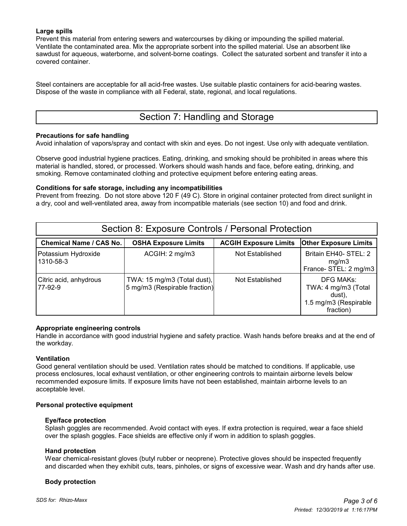#### **Large spills**

Prevent this material from entering sewers and watercourses by diking or impounding the spilled material. Ventilate the contaminated area. Mix the appropriate sorbent into the spilled material. Use an absorbent like sawdust for aqueous, waterborne, and solvent-borne coatings. Collect the saturated sorbent and transfer it into a covered container.

Steel containers are acceptable for all acid-free wastes. Use suitable plastic containers for acid-bearing wastes. Dispose of the waste in compliance with all Federal, state, regional, and local regulations.

# Section 7: Handling and Storage

#### **Precautions for safe handling**

Avoid inhalation of vapors/spray and contact with skin and eyes. Do not ingest. Use only with adequate ventilation.

Observe good industrial hygiene practices. Eating, drinking, and smoking should be prohibited in areas where this material is handled, stored, or processed. Workers should wash hands and face, before eating, drinking, and smoking. Remove contaminated clothing and protective equipment before entering eating areas.

#### **Conditions for safe storage, including any incompatibilities**

Prevent from freezing. Do not store above 120 F (49 C). Store in original container protected from direct sunlight in a dry, cool and well-ventilated area, away from incompatible materials (see section 10) and food and drink.

| Section 8: Exposure Controls / Personal Protection |                                                              |                              |                                                                                         |  |  |  |  |
|----------------------------------------------------|--------------------------------------------------------------|------------------------------|-----------------------------------------------------------------------------------------|--|--|--|--|
| <b>Chemical Name / CAS No.</b>                     | <b>OSHA Exposure Limits</b>                                  | <b>ACGIH Exposure Limits</b> | <b>Other Exposure Limits</b>                                                            |  |  |  |  |
| Potassium Hydroxide<br>1310-58-3                   | ACGIH: 2 mg/m3                                               | Not Established              | Britain EH40- STEL: 2<br>mg/m3<br>France-STEL: 2 mg/m3                                  |  |  |  |  |
| Citric acid, anhydrous<br>177-92-9                 | TWA: 15 mg/m3 (Total dust),<br>5 mg/m3 (Respirable fraction) | Not Established              | <b>DFG MAKs:</b><br>TWA: 4 mg/m3 (Total<br>dust),<br>1.5 mg/m3 (Respirable<br>fraction) |  |  |  |  |

#### **Appropriate engineering controls**

Handle in accordance with good industrial hygiene and safety practice. Wash hands before breaks and at the end of the workday.

#### **Ventilation**

Good general ventilation should be used. Ventilation rates should be matched to conditions. If applicable, use process enclosures, local exhaust ventilation, or other engineering controls to maintain airborne levels below recommended exposure limits. If exposure limits have not been established, maintain airborne levels to an acceptable level.

#### **Personal protective equipment**

#### **Eye/face protection**

 Splash goggles are recommended. Avoid contact with eyes. If extra protection is required, wear a face shield over the splash goggles. Face shields are effective only if worn in addition to splash goggles.

#### **Hand protection**

 Wear chemical-resistant gloves (butyl rubber or neoprene). Protective gloves should be inspected frequently and discarded when they exhibit cuts, tears, pinholes, or signs of excessive wear. Wash and dry hands after use.

#### **Body protection**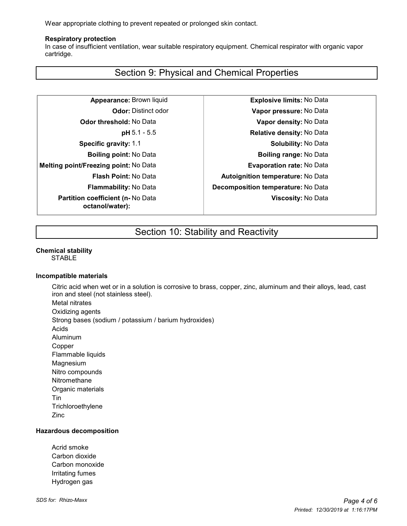Wear appropriate clothing to prevent repeated or prolonged skin contact.

#### **Respiratory protection**

 In case of insufficient ventilation, wear suitable respiratory equipment. Chemical respirator with organic vapor cartridge.

# Section 9: Physical and Chemical Properties

**Melting point/Freezing point:** No Data **Evaporation rate:** No Data **Partition coefficient (n-** No Data **octanol/water):**

**Appearance:** Brown liquid **Explosive limits:** No Data **Odor:** Distinct odor **Vapor pressure:** No Data **Odor threshold:** No Data **Vapor density:** No Data **pH** 5.1 - 5.5 **Relative density:** No Data **Specific gravity:** 1.1 **Specific gravity:** 1.1 **Solubility:** No Data **Boiling point:** No Data **Boiling range:** No Data **Flash Point:** No Data **Autoignition temperature:** No Data **Flammability:** No Data **Decomposition temperature:** No Data **Viscosity:** No Data

# Section 10: Stability and Reactivity

#### **Chemical stability**

STABLE

#### **Incompatible materials**

Citric acid when wet or in a solution is corrosive to brass, copper, zinc, aluminum and their alloys, lead, cast iron and steel (not stainless steel). Metal nitrates

Oxidizing agents

Strong bases (sodium / potassium / barium hydroxides)

- Acids
- Aluminum
- Copper
- Flammable liquids
- Magnesium
- 
- Nitro compounds
- Nitromethane
- Organic materials Tin
- **Trichloroethylene**
- Zinc

#### **Hazardous decomposition**

Acrid smoke Carbon dioxide Carbon monoxide Irritating fumes Hydrogen gas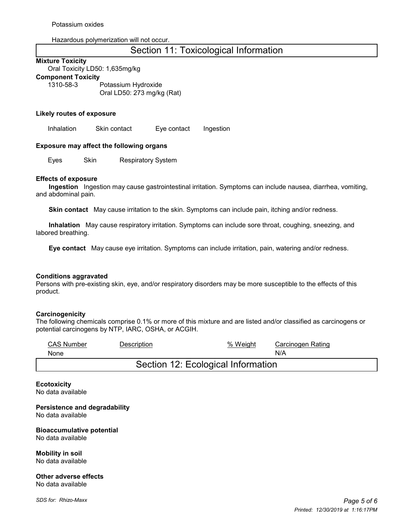Hazardous polymerization will not occur.

## Section 11: Toxicological Information

#### **Mixture Toxicity**

Oral Toxicity LD50: 1,635mg/kg **Component Toxicity**

1310-58-3 Potassium Hydroxide Oral LD50: 273 mg/kg (Rat)

#### **Likely routes of exposure**

Inhalation Skin contact Eye contact Ingestion

#### **Exposure may affect the following organs**

Eyes Skin Respiratory System

#### **Effects of exposure**

 **Ingestion** Ingestion may cause gastrointestinal irritation. Symptoms can include nausea, diarrhea, vomiting, and abdominal pain.

 **Skin contact** May cause irritation to the skin. Symptoms can include pain, itching and/or redness.

 **Inhalation** May cause respiratory irritation. Symptoms can include sore throat, coughing, sneezing, and labored breathing.

 **Eye contact** May cause eye irritation. Symptoms can include irritation, pain, watering and/or redness.

#### **Conditions aggravated**

Persons with pre-existing skin, eye, and/or respiratory disorders may be more susceptible to the effects of this product.

#### **Carcinogenicity**

The following chemicals comprise 0.1% or more of this mixture and are listed and/or classified as carcinogens or potential carcinogens by NTP, IARC, OSHA, or ACGIH.

| <b>CAS Number</b>                  | Description | % Weight | Carcinogen Rating |  |  |  |
|------------------------------------|-------------|----------|-------------------|--|--|--|
| None                               |             |          | N/A               |  |  |  |
| Section 12: Ecological Information |             |          |                   |  |  |  |

#### **Ecotoxicity** No data available

**Persistence and degradability** No data available

**Bioaccumulative potential** No data available

**Mobility in soil** No data available

**Other adverse effects** No data available